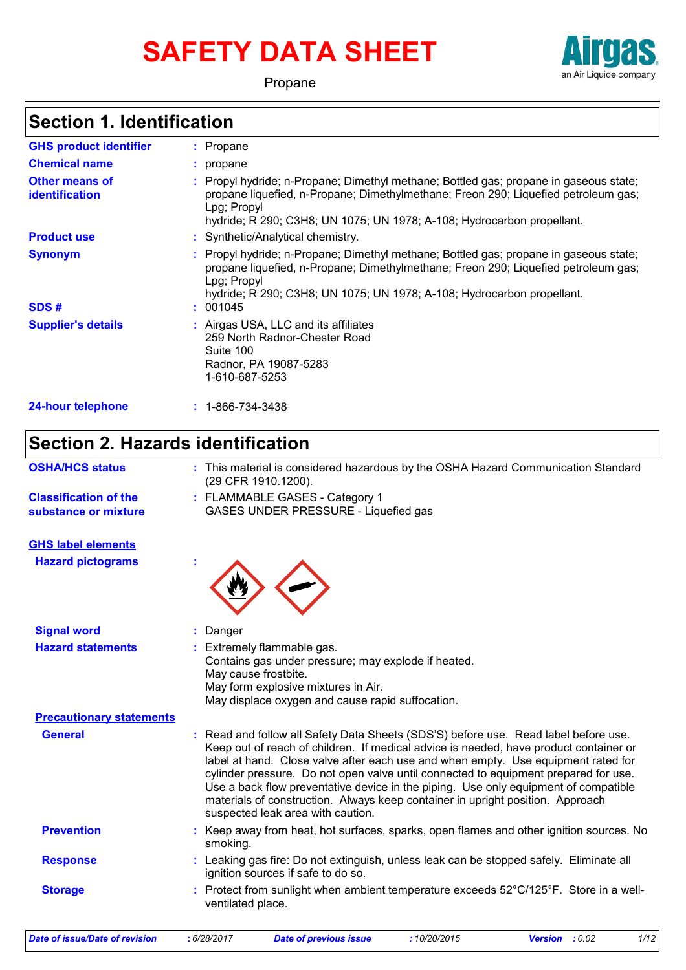# **SAFETY DATA SHEET**



Propane

# **Section 1. Identification**

| <b>GHS product identifier</b>           | : Propane                                                                                                                                                                                                                                                                        |
|-----------------------------------------|----------------------------------------------------------------------------------------------------------------------------------------------------------------------------------------------------------------------------------------------------------------------------------|
| <b>Chemical name</b>                    | : propane                                                                                                                                                                                                                                                                        |
| <b>Other means of</b><br>identification | : Propyl hydride; n-Propane; Dimethyl methane; Bottled gas; propane in gaseous state;<br>propane liquefied, n-Propane; Dimethylmethane; Freon 290; Liquefied petroleum gas;<br>Lpg; Propyl<br>hydride; R 290; C3H8; UN 1075; UN 1978; A-108; Hydrocarbon propellant.             |
| <b>Product use</b>                      | : Synthetic/Analytical chemistry.                                                                                                                                                                                                                                                |
| <b>Synonym</b><br>SDS#                  | : Propyl hydride; n-Propane; Dimethyl methane; Bottled gas; propane in gaseous state;<br>propane liquefied, n-Propane; Dimethylmethane; Freon 290; Liquefied petroleum gas;<br>Lpg; Propyl<br>hydride; R 290; C3H8; UN 1075; UN 1978; A-108; Hydrocarbon propellant.<br>: 001045 |
| <b>Supplier's details</b>               | : Airgas USA, LLC and its affiliates<br>259 North Radnor-Chester Road<br>Suite 100<br>Radnor, PA 19087-5283<br>1-610-687-5253                                                                                                                                                    |
| <b>24-hour telephone</b>                | $: 1 - 866 - 734 - 3438$                                                                                                                                                                                                                                                         |

# **Section 2. Hazards identification**

| <b>OSHA/HCS status</b>                               | : This material is considered hazardous by the OSHA Hazard Communication Standard<br>(29 CFR 1910.1200).                                                                                                                                                                                                                                                                                                                                                                                                                                                             |
|------------------------------------------------------|----------------------------------------------------------------------------------------------------------------------------------------------------------------------------------------------------------------------------------------------------------------------------------------------------------------------------------------------------------------------------------------------------------------------------------------------------------------------------------------------------------------------------------------------------------------------|
| <b>Classification of the</b><br>substance or mixture | : FLAMMABLE GASES - Category 1<br>GASES UNDER PRESSURE - Liquefied gas                                                                                                                                                                                                                                                                                                                                                                                                                                                                                               |
| <b>GHS label elements</b>                            |                                                                                                                                                                                                                                                                                                                                                                                                                                                                                                                                                                      |
| <b>Hazard pictograms</b>                             |                                                                                                                                                                                                                                                                                                                                                                                                                                                                                                                                                                      |
| <b>Signal word</b>                                   | Danger                                                                                                                                                                                                                                                                                                                                                                                                                                                                                                                                                               |
| <b>Hazard statements</b>                             | Extremely flammable gas.<br>Contains gas under pressure; may explode if heated.<br>May cause frostbite.<br>May form explosive mixtures in Air.<br>May displace oxygen and cause rapid suffocation.                                                                                                                                                                                                                                                                                                                                                                   |
| <b>Precautionary statements</b>                      |                                                                                                                                                                                                                                                                                                                                                                                                                                                                                                                                                                      |
| <b>General</b>                                       | Read and follow all Safety Data Sheets (SDS'S) before use. Read label before use.<br>Keep out of reach of children. If medical advice is needed, have product container or<br>label at hand. Close valve after each use and when empty. Use equipment rated for<br>cylinder pressure. Do not open valve until connected to equipment prepared for use.<br>Use a back flow preventative device in the piping. Use only equipment of compatible<br>materials of construction. Always keep container in upright position. Approach<br>suspected leak area with caution. |
| <b>Prevention</b>                                    | : Keep away from heat, hot surfaces, sparks, open flames and other ignition sources. No<br>smoking.                                                                                                                                                                                                                                                                                                                                                                                                                                                                  |
| <b>Response</b>                                      | : Leaking gas fire: Do not extinguish, unless leak can be stopped safely. Eliminate all<br>ignition sources if safe to do so.                                                                                                                                                                                                                                                                                                                                                                                                                                        |
| <b>Storage</b>                                       | Protect from sunlight when ambient temperature exceeds 52°C/125°F. Store in a well-<br>ventilated place.                                                                                                                                                                                                                                                                                                                                                                                                                                                             |
| <b>Date of issue/Date of revision</b>                | :10/20/2015<br><b>Version</b> : 0.02<br>1/12<br>: 6/28/2017<br><b>Date of previous issue</b>                                                                                                                                                                                                                                                                                                                                                                                                                                                                         |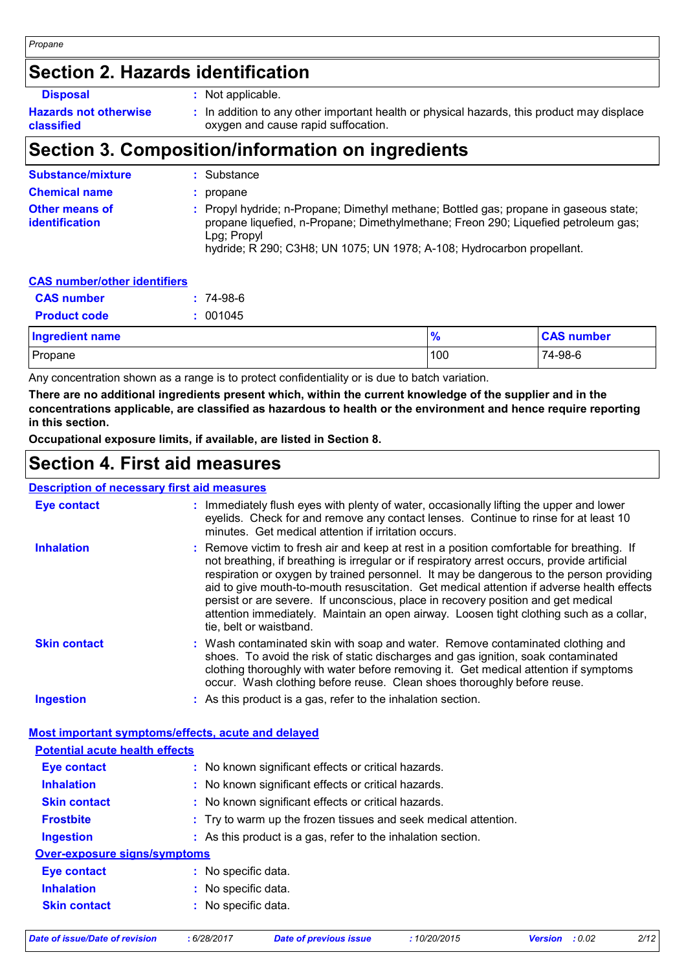### **Section 2. Hazards identification**

| <b>Disposal</b>                            | Not applicable.                                                                                                                   |
|--------------------------------------------|-----------------------------------------------------------------------------------------------------------------------------------|
| <b>Hazards not otherwise</b><br>classified | : In addition to any other important health or physical hazards, this product may displace<br>oxygen and cause rapid suffocation. |

# **Section 3. Composition/information on ingredients**

| <b>Substance/mixture</b>                       | : Substance                                                                                                                                                                                                                                                          |
|------------------------------------------------|----------------------------------------------------------------------------------------------------------------------------------------------------------------------------------------------------------------------------------------------------------------------|
| <b>Chemical name</b>                           | : propane                                                                                                                                                                                                                                                            |
| <b>Other means of</b><br><i>identification</i> | : Propyl hydride; n-Propane; Dimethyl methane; Bottled gas; propane in gaseous state;<br>propane liquefied, n-Propane; Dimethylmethane; Freon 290; Liquefied petroleum gas;<br>Lpg: Propyl<br>hydride; R 290; C3H8; UN 1075; UN 1978; A-108; Hydrocarbon propellant. |

| <b>CAS number/other identifiers</b> |             |
|-------------------------------------|-------------|
| <b>CAS</b> number                   | $: 74-98-6$ |
| <b>Product code</b>                 | : 001045    |

| <b>Ingredient name</b> |     | <b>CAS number</b> |
|------------------------|-----|-------------------|
| Propane                | 100 | 74-98-6           |

Any concentration shown as a range is to protect confidentiality or is due to batch variation.

**There are no additional ingredients present which, within the current knowledge of the supplier and in the concentrations applicable, are classified as hazardous to health or the environment and hence require reporting in this section.**

**Occupational exposure limits, if available, are listed in Section 8.**

### **Section 4. First aid measures**

#### **Description of necessary first aid measures**

| <b>Eye contact</b>                                                                          | : Immediately flush eyes with plenty of water, occasionally lifting the upper and lower<br>eyelids. Check for and remove any contact lenses. Continue to rinse for at least 10<br>minutes. Get medical attention if irritation occurs.                                                                                                                                                                                                                                                                                                                                                       |  |
|---------------------------------------------------------------------------------------------|----------------------------------------------------------------------------------------------------------------------------------------------------------------------------------------------------------------------------------------------------------------------------------------------------------------------------------------------------------------------------------------------------------------------------------------------------------------------------------------------------------------------------------------------------------------------------------------------|--|
| <b>Inhalation</b>                                                                           | : Remove victim to fresh air and keep at rest in a position comfortable for breathing. If<br>not breathing, if breathing is irregular or if respiratory arrest occurs, provide artificial<br>respiration or oxygen by trained personnel. It may be dangerous to the person providing<br>aid to give mouth-to-mouth resuscitation. Get medical attention if adverse health effects<br>persist or are severe. If unconscious, place in recovery position and get medical<br>attention immediately. Maintain an open airway. Loosen tight clothing such as a collar,<br>tie, belt or waistband. |  |
| <b>Skin contact</b>                                                                         | : Wash contaminated skin with soap and water. Remove contaminated clothing and<br>shoes. To avoid the risk of static discharges and gas ignition, soak contaminated<br>clothing thoroughly with water before removing it. Get medical attention if symptoms<br>occur. Wash clothing before reuse. Clean shoes thoroughly before reuse.                                                                                                                                                                                                                                                       |  |
| <b>Ingestion</b>                                                                            | : As this product is a gas, refer to the inhalation section.                                                                                                                                                                                                                                                                                                                                                                                                                                                                                                                                 |  |
|                                                                                             |                                                                                                                                                                                                                                                                                                                                                                                                                                                                                                                                                                                              |  |
| Most important symptoms/effects, acute and delayed<br><b>Potential acute health effects</b> |                                                                                                                                                                                                                                                                                                                                                                                                                                                                                                                                                                                              |  |
| <b>Eye contact</b>                                                                          | : No known significant effects or critical hazards.                                                                                                                                                                                                                                                                                                                                                                                                                                                                                                                                          |  |
| <b>Inhalation</b>                                                                           | : No known significant effects or critical hazards.                                                                                                                                                                                                                                                                                                                                                                                                                                                                                                                                          |  |
| <b>Skin contact</b>                                                                         | : No known significant effects or critical hazards.                                                                                                                                                                                                                                                                                                                                                                                                                                                                                                                                          |  |
| <b>Frostbite</b>                                                                            | : Try to warm up the frozen tissues and seek medical attention.                                                                                                                                                                                                                                                                                                                                                                                                                                                                                                                              |  |
| <b>Ingestion</b>                                                                            | : As this product is a gas, refer to the inhalation section.                                                                                                                                                                                                                                                                                                                                                                                                                                                                                                                                 |  |
| <b>Over-exposure signs/symptoms</b>                                                         |                                                                                                                                                                                                                                                                                                                                                                                                                                                                                                                                                                                              |  |
| <b>Eye contact</b>                                                                          | : No specific data.                                                                                                                                                                                                                                                                                                                                                                                                                                                                                                                                                                          |  |
| <b>Inhalation</b>                                                                           | : No specific data.                                                                                                                                                                                                                                                                                                                                                                                                                                                                                                                                                                          |  |
| <b>Skin contact</b>                                                                         | : No specific data.                                                                                                                                                                                                                                                                                                                                                                                                                                                                                                                                                                          |  |

*Date of issue/Date of revision* **:** *6/28/2017 Date of previous issue : 10/20/2015 Version : 0.02 2/12*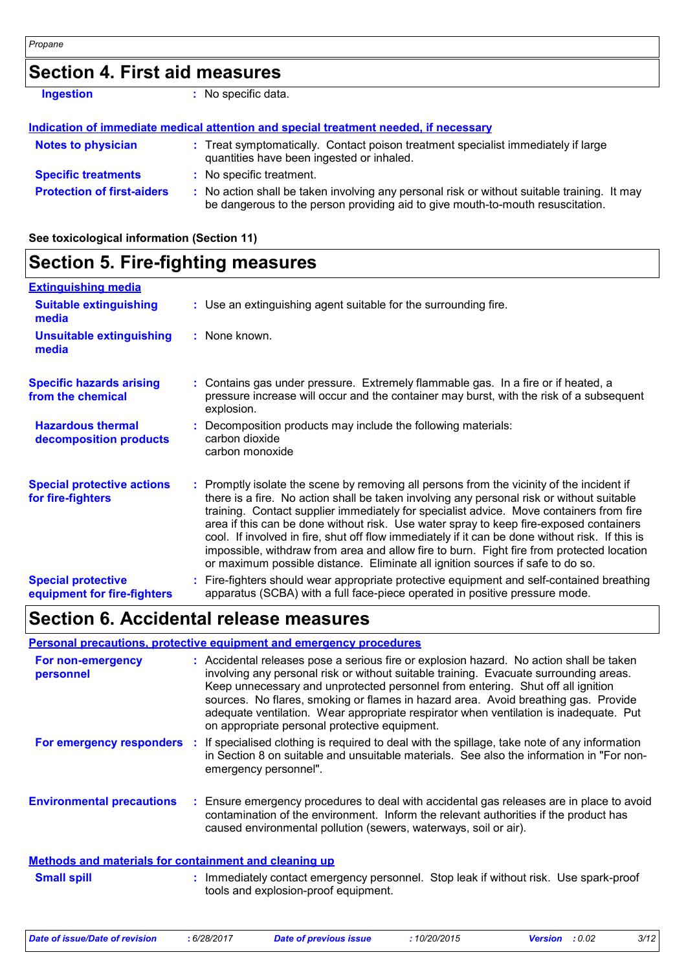# **Section 4. First aid measures**

**Ingestion :** No specific data.

|                                   | Indication of immediate medical attention and special treatment needed, if necessary                                                                                          |
|-----------------------------------|-------------------------------------------------------------------------------------------------------------------------------------------------------------------------------|
| <b>Notes to physician</b>         | : Treat symptomatically. Contact poison treatment specialist immediately if large<br>quantities have been ingested or inhaled.                                                |
| <b>Specific treatments</b>        | : No specific treatment.                                                                                                                                                      |
| <b>Protection of first-aiders</b> | : No action shall be taken involving any personal risk or without suitable training. It may<br>be dangerous to the person providing aid to give mouth-to-mouth resuscitation. |

**See toxicological information (Section 11)**

| <b>Section 5. Fire-fighting measures</b>                 |                                                                                                                                                                                                                                                                                                                                                                                                                                                                                                                                                                                                                                                               |  |
|----------------------------------------------------------|---------------------------------------------------------------------------------------------------------------------------------------------------------------------------------------------------------------------------------------------------------------------------------------------------------------------------------------------------------------------------------------------------------------------------------------------------------------------------------------------------------------------------------------------------------------------------------------------------------------------------------------------------------------|--|
| <b>Extinguishing media</b>                               |                                                                                                                                                                                                                                                                                                                                                                                                                                                                                                                                                                                                                                                               |  |
| <b>Suitable extinguishing</b><br>media                   | : Use an extinguishing agent suitable for the surrounding fire.                                                                                                                                                                                                                                                                                                                                                                                                                                                                                                                                                                                               |  |
| <b>Unsuitable extinguishing</b><br>media                 | : None known.                                                                                                                                                                                                                                                                                                                                                                                                                                                                                                                                                                                                                                                 |  |
| <b>Specific hazards arising</b><br>from the chemical     | : Contains gas under pressure. Extremely flammable gas. In a fire or if heated, a<br>pressure increase will occur and the container may burst, with the risk of a subsequent<br>explosion.                                                                                                                                                                                                                                                                                                                                                                                                                                                                    |  |
| <b>Hazardous thermal</b><br>decomposition products       | Decomposition products may include the following materials:<br>carbon dioxide<br>carbon monoxide                                                                                                                                                                                                                                                                                                                                                                                                                                                                                                                                                              |  |
| <b>Special protective actions</b><br>for fire-fighters   | : Promptly isolate the scene by removing all persons from the vicinity of the incident if<br>there is a fire. No action shall be taken involving any personal risk or without suitable<br>training. Contact supplier immediately for specialist advice. Move containers from fire<br>area if this can be done without risk. Use water spray to keep fire-exposed containers<br>cool. If involved in fire, shut off flow immediately if it can be done without risk. If this is<br>impossible, withdraw from area and allow fire to burn. Fight fire from protected location<br>or maximum possible distance. Eliminate all ignition sources if safe to do so. |  |
| <b>Special protective</b><br>equipment for fire-fighters | Fire-fighters should wear appropriate protective equipment and self-contained breathing<br>apparatus (SCBA) with a full face-piece operated in positive pressure mode.                                                                                                                                                                                                                                                                                                                                                                                                                                                                                        |  |

### **Section 6. Accidental release measures**

#### **Personal precautions, protective equipment and emergency procedures**

| For non-emergency<br>personnel                        | : Accidental releases pose a serious fire or explosion hazard. No action shall be taken<br>involving any personal risk or without suitable training. Evacuate surrounding areas.<br>Keep unnecessary and unprotected personnel from entering. Shut off all ignition<br>sources. No flares, smoking or flames in hazard area. Avoid breathing gas. Provide<br>adequate ventilation. Wear appropriate respirator when ventilation is inadequate. Put<br>on appropriate personal protective equipment. |
|-------------------------------------------------------|-----------------------------------------------------------------------------------------------------------------------------------------------------------------------------------------------------------------------------------------------------------------------------------------------------------------------------------------------------------------------------------------------------------------------------------------------------------------------------------------------------|
| For emergency responders                              | : If specialised clothing is required to deal with the spillage, take note of any information<br>in Section 8 on suitable and unsuitable materials. See also the information in "For non-<br>emergency personnel".                                                                                                                                                                                                                                                                                  |
| <b>Environmental precautions</b>                      | : Ensure emergency procedures to deal with accidental gas releases are in place to avoid<br>contamination of the environment. Inform the relevant authorities if the product has<br>caused environmental pollution (sewers, waterways, soil or air).                                                                                                                                                                                                                                                |
| Methods and materials for containment and cleaning up |                                                                                                                                                                                                                                                                                                                                                                                                                                                                                                     |
| <b>Small spill</b>                                    | : Immediately contact emergency personnel. Stop leak if without risk. Use spark-proof<br>tools and explosion-proof equipment.                                                                                                                                                                                                                                                                                                                                                                       |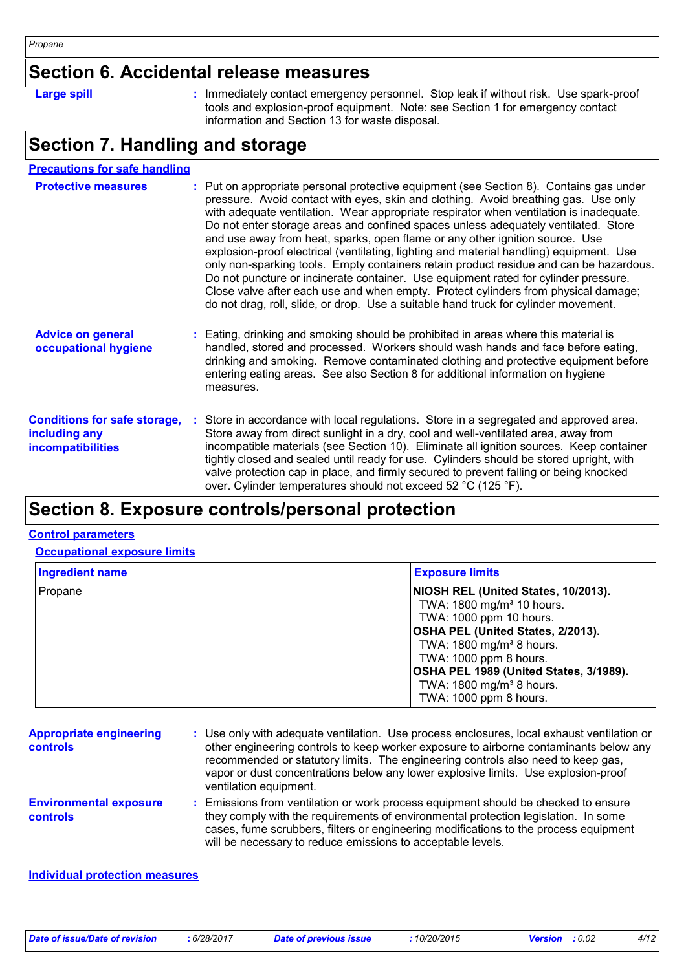### **Section 6. Accidental release measures**

**Large spill :**

: Immediately contact emergency personnel. Stop leak if without risk. Use spark-proof tools and explosion-proof equipment. Note: see Section 1 for emergency contact information and Section 13 for waste disposal.

# **Section 7. Handling and storage**

| <b>Precautions for safe handling</b>                                             |                                                                                                                                                                                                                                                                                                                                                                                                                                                                                                                                                                                                                                                                                                                                                                                                                                                                                                        |
|----------------------------------------------------------------------------------|--------------------------------------------------------------------------------------------------------------------------------------------------------------------------------------------------------------------------------------------------------------------------------------------------------------------------------------------------------------------------------------------------------------------------------------------------------------------------------------------------------------------------------------------------------------------------------------------------------------------------------------------------------------------------------------------------------------------------------------------------------------------------------------------------------------------------------------------------------------------------------------------------------|
| <b>Protective measures</b>                                                       | : Put on appropriate personal protective equipment (see Section 8). Contains gas under<br>pressure. Avoid contact with eyes, skin and clothing. Avoid breathing gas. Use only<br>with adequate ventilation. Wear appropriate respirator when ventilation is inadequate.<br>Do not enter storage areas and confined spaces unless adequately ventilated. Store<br>and use away from heat, sparks, open flame or any other ignition source. Use<br>explosion-proof electrical (ventilating, lighting and material handling) equipment. Use<br>only non-sparking tools. Empty containers retain product residue and can be hazardous.<br>Do not puncture or incinerate container. Use equipment rated for cylinder pressure.<br>Close valve after each use and when empty. Protect cylinders from physical damage;<br>do not drag, roll, slide, or drop. Use a suitable hand truck for cylinder movement. |
| <b>Advice on general</b><br>occupational hygiene                                 | Eating, drinking and smoking should be prohibited in areas where this material is<br>handled, stored and processed. Workers should wash hands and face before eating,<br>drinking and smoking. Remove contaminated clothing and protective equipment before<br>entering eating areas. See also Section 8 for additional information on hygiene<br>measures.                                                                                                                                                                                                                                                                                                                                                                                                                                                                                                                                            |
| <b>Conditions for safe storage,</b><br>including any<br><b>incompatibilities</b> | Store in accordance with local regulations. Store in a segregated and approved area.<br>Store away from direct sunlight in a dry, cool and well-ventilated area, away from<br>incompatible materials (see Section 10). Eliminate all ignition sources. Keep container<br>tightly closed and sealed until ready for use. Cylinders should be stored upright, with<br>valve protection cap in place, and firmly secured to prevent falling or being knocked<br>over. Cylinder temperatures should not exceed 52 °C (125 °F).                                                                                                                                                                                                                                                                                                                                                                             |

## **Section 8. Exposure controls/personal protection**

#### **Control parameters**

#### **Occupational exposure limits**

| <b>Ingredient name</b> | <b>Exposure limits</b>                   |  |  |
|------------------------|------------------------------------------|--|--|
| Propane                | NIOSH REL (United States, 10/2013).      |  |  |
|                        | TWA: 1800 mg/m <sup>3</sup> 10 hours.    |  |  |
|                        | TWA: 1000 ppm 10 hours.                  |  |  |
|                        | <b>OSHA PEL (United States, 2/2013).</b> |  |  |
|                        | TWA: 1800 mg/m <sup>3</sup> 8 hours.     |  |  |
|                        | TWA: 1000 ppm 8 hours.                   |  |  |
|                        | OSHA PEL 1989 (United States, 3/1989).   |  |  |
|                        | TWA: 1800 mg/m <sup>3</sup> 8 hours.     |  |  |
|                        | TWA: 1000 ppm 8 hours.                   |  |  |

| <b>Appropriate engineering</b><br><b>controls</b> | : Use only with adequate ventilation. Use process enclosures, local exhaust ventilation or<br>other engineering controls to keep worker exposure to airborne contaminants below any<br>recommended or statutory limits. The engineering controls also need to keep gas,<br>vapor or dust concentrations below any lower explosive limits. Use explosion-proof<br>ventilation equipment. |
|---------------------------------------------------|-----------------------------------------------------------------------------------------------------------------------------------------------------------------------------------------------------------------------------------------------------------------------------------------------------------------------------------------------------------------------------------------|
| <b>Environmental exposure</b><br><b>controls</b>  | : Emissions from ventilation or work process equipment should be checked to ensure<br>they comply with the requirements of environmental protection legislation. In some<br>cases, fume scrubbers, filters or engineering modifications to the process equipment<br>will be necessary to reduce emissions to acceptable levels.                                                         |

#### **Individual protection measures**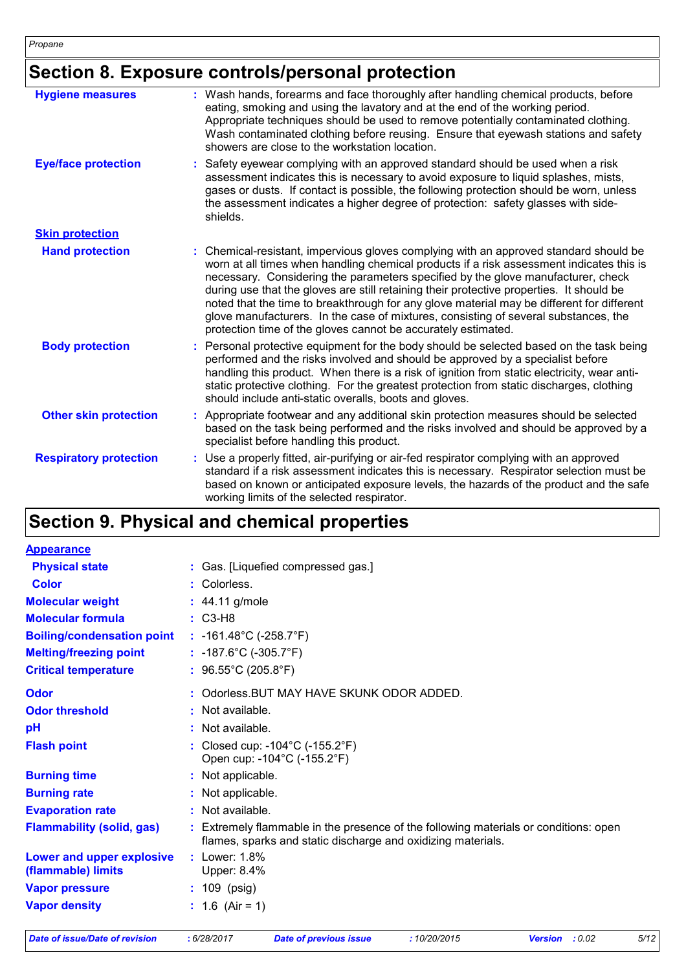# **Section 8. Exposure controls/personal protection**

| <b>Hygiene measures</b>       | : Wash hands, forearms and face thoroughly after handling chemical products, before<br>eating, smoking and using the lavatory and at the end of the working period.<br>Appropriate techniques should be used to remove potentially contaminated clothing.<br>Wash contaminated clothing before reusing. Ensure that eyewash stations and safety<br>showers are close to the workstation location.                                                                                                                                                                                                                      |
|-------------------------------|------------------------------------------------------------------------------------------------------------------------------------------------------------------------------------------------------------------------------------------------------------------------------------------------------------------------------------------------------------------------------------------------------------------------------------------------------------------------------------------------------------------------------------------------------------------------------------------------------------------------|
| <b>Eye/face protection</b>    | : Safety eyewear complying with an approved standard should be used when a risk<br>assessment indicates this is necessary to avoid exposure to liquid splashes, mists,<br>gases or dusts. If contact is possible, the following protection should be worn, unless<br>the assessment indicates a higher degree of protection: safety glasses with side-<br>shields.                                                                                                                                                                                                                                                     |
| <b>Skin protection</b>        |                                                                                                                                                                                                                                                                                                                                                                                                                                                                                                                                                                                                                        |
| <b>Hand protection</b>        | : Chemical-resistant, impervious gloves complying with an approved standard should be<br>worn at all times when handling chemical products if a risk assessment indicates this is<br>necessary. Considering the parameters specified by the glove manufacturer, check<br>during use that the gloves are still retaining their protective properties. It should be<br>noted that the time to breakthrough for any glove material may be different for different<br>glove manufacturers. In the case of mixtures, consisting of several substances, the<br>protection time of the gloves cannot be accurately estimated. |
| <b>Body protection</b>        | : Personal protective equipment for the body should be selected based on the task being<br>performed and the risks involved and should be approved by a specialist before<br>handling this product. When there is a risk of ignition from static electricity, wear anti-<br>static protective clothing. For the greatest protection from static discharges, clothing<br>should include anti-static overalls, boots and gloves.                                                                                                                                                                                         |
| <b>Other skin protection</b>  | : Appropriate footwear and any additional skin protection measures should be selected<br>based on the task being performed and the risks involved and should be approved by a<br>specialist before handling this product.                                                                                                                                                                                                                                                                                                                                                                                              |
| <b>Respiratory protection</b> | : Use a properly fitted, air-purifying or air-fed respirator complying with an approved<br>standard if a risk assessment indicates this is necessary. Respirator selection must be<br>based on known or anticipated exposure levels, the hazards of the product and the safe<br>working limits of the selected respirator.                                                                                                                                                                                                                                                                                             |

# **Section 9. Physical and chemical properties**

| <b>Appearance</b>                               |                                                                                                                                                      |
|-------------------------------------------------|------------------------------------------------------------------------------------------------------------------------------------------------------|
| <b>Physical state</b>                           | : Gas. [Liquefied compressed gas.]                                                                                                                   |
| <b>Color</b>                                    | : Colorless.                                                                                                                                         |
| <b>Molecular weight</b>                         | : 44.11 g/mole                                                                                                                                       |
| <b>Molecular formula</b>                        | $\therefore$ C3-H8                                                                                                                                   |
| <b>Boiling/condensation point</b>               | : $-161.48^{\circ}$ C ( $-258.7^{\circ}$ F)                                                                                                          |
| <b>Melting/freezing point</b>                   | : $-187.6^{\circ}$ C ( $-305.7^{\circ}$ F)                                                                                                           |
| <b>Critical temperature</b>                     | : $96.55^{\circ}$ C (205.8°F)                                                                                                                        |
| <b>Odor</b>                                     | : Odorless. BUT MAY HAVE SKUNK ODOR ADDED.                                                                                                           |
| <b>Odor threshold</b>                           | $\cdot$ Not available.                                                                                                                               |
| pH                                              | : Not available.                                                                                                                                     |
| <b>Flash point</b>                              | : Closed cup: $-104^{\circ}$ C ( $-155.2^{\circ}$ F)<br>Open cup: -104°C (-155.2°F)                                                                  |
| <b>Burning time</b>                             | : Not applicable.                                                                                                                                    |
| <b>Burning rate</b>                             | : Not applicable.                                                                                                                                    |
| <b>Evaporation rate</b>                         | : Not available.                                                                                                                                     |
| <b>Flammability (solid, gas)</b>                | : Extremely flammable in the presence of the following materials or conditions: open<br>flames, sparks and static discharge and oxidizing materials. |
| Lower and upper explosive<br>(flammable) limits | : Lower: $1.8\%$<br>Upper: 8.4%                                                                                                                      |
| <b>Vapor pressure</b>                           | : 109 (psig)                                                                                                                                         |
| <b>Vapor density</b>                            | : $1.6$ (Air = 1)                                                                                                                                    |
|                                                 |                                                                                                                                                      |

*Date of issue/Date of revision* **:** *6/28/2017 Date of previous issue : 10/20/2015 Version : 0.02 5/12*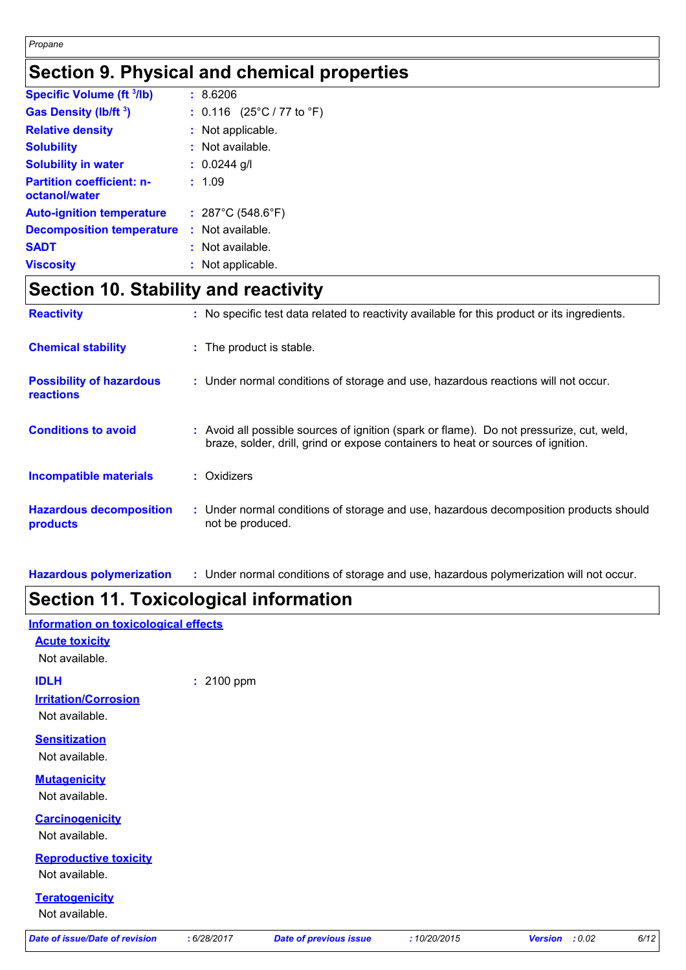# **Section 9. Physical and chemical properties**

| <b>Specific Volume (ft 3/lb)</b>                  |    | :8.6206                     |
|---------------------------------------------------|----|-----------------------------|
| Gas Density (lb/ft 3)                             |    | : $0.116$ (25°C / 77 to °F) |
| <b>Relative density</b>                           | t. | Not applicable.             |
| <b>Solubility</b>                                 |    | Not available.              |
| <b>Solubility in water</b>                        |    | $: 0.0244$ g/l              |
| <b>Partition coefficient: n-</b><br>octanol/water |    | : 1.09                      |
| <b>Auto-ignition temperature</b>                  |    | : 287°C (548.6°F)           |
| <b>Decomposition temperature</b>                  |    | $:$ Not available.          |
| <b>SADT</b>                                       |    | Not available.              |
| <b>Viscosity</b>                                  | t. | Not applicable.             |

# **Section 10. Stability and reactivity**

| <b>Reactivity</b>                                   | : No specific test data related to reactivity available for this product or its ingredients.                                                                                 |
|-----------------------------------------------------|------------------------------------------------------------------------------------------------------------------------------------------------------------------------------|
| <b>Chemical stability</b>                           | : The product is stable.                                                                                                                                                     |
| <b>Possibility of hazardous</b><br><b>reactions</b> | : Under normal conditions of storage and use, hazardous reactions will not occur.                                                                                            |
| <b>Conditions to avoid</b>                          | : Avoid all possible sources of ignition (spark or flame). Do not pressurize, cut, weld,<br>braze, solder, drill, grind or expose containers to heat or sources of ignition. |
| <b>Incompatible materials</b>                       | : Oxidizers                                                                                                                                                                  |
| <b>Hazardous decomposition</b><br>products          | : Under normal conditions of storage and use, hazardous decomposition products should<br>not be produced.                                                                    |

**Hazardous polymerization :** Under normal conditions of storage and use, hazardous polymerization will not occur.

### **Section 11. Toxicological information**

#### **Information on toxicological effects**

**Acute toxicity**

Not available.

**IDLH :** 2100 ppm

**Irritation/Corrosion**

Not available.

**Sensitization**

Not available.

**Mutagenicity**

Not available.

**Carcinogenicity**

Not available.

**Reproductive toxicity**

Not available.

#### **Teratogenicity**

Not available.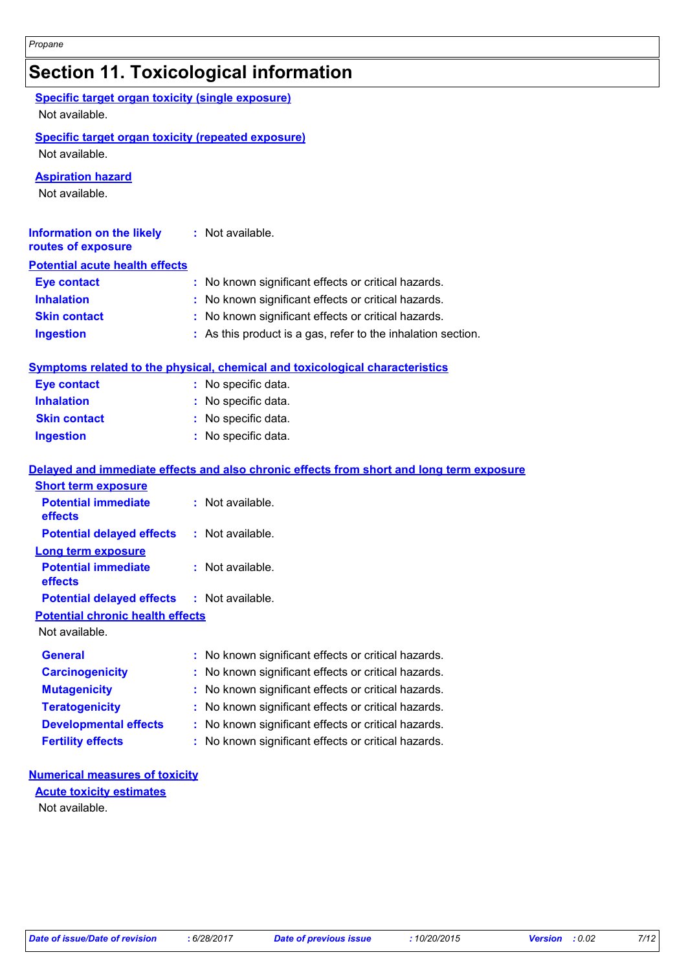# **Section 11. Toxicological information**

| <b>Specific target organ toxicity (single exposure)</b><br>Not available. |                                                                                          |
|---------------------------------------------------------------------------|------------------------------------------------------------------------------------------|
| Specific target organ toxicity (repeated exposure)<br>Not available.      |                                                                                          |
| <b>Aspiration hazard</b><br>Not available.                                |                                                                                          |
| <b>Information on the likely</b><br>routes of exposure                    | : Not available.                                                                         |
| <b>Potential acute health effects</b>                                     |                                                                                          |
| <b>Eye contact</b>                                                        | : No known significant effects or critical hazards.                                      |
| <b>Inhalation</b>                                                         | No known significant effects or critical hazards.                                        |
| <b>Skin contact</b>                                                       | : No known significant effects or critical hazards.                                      |
| <b>Ingestion</b>                                                          | : As this product is a gas, refer to the inhalation section.                             |
|                                                                           | Symptoms related to the physical, chemical and toxicological characteristics             |
| <b>Eye contact</b>                                                        | : No specific data.                                                                      |
| <b>Inhalation</b>                                                         | : No specific data.                                                                      |
| <b>Skin contact</b>                                                       | : No specific data.                                                                      |
| <b>Ingestion</b>                                                          | : No specific data.                                                                      |
|                                                                           | Delayed and immediate effects and also chronic effects from short and long term exposure |
| <b>Short term exposure</b>                                                |                                                                                          |
| <b>Potential immediate</b><br>effects                                     | : Not available.                                                                         |
| <b>Potential delayed effects</b>                                          | : Not available.                                                                         |
| <b>Long term exposure</b>                                                 |                                                                                          |
| <b>Potential immediate</b><br>effects                                     | : Not available.                                                                         |
| <b>Potential delayed effects</b>                                          | : Not available.                                                                         |
| <b>Potential chronic health effects</b><br>Not available.                 |                                                                                          |
| <b>General</b>                                                            | : No known significant effects or critical hazards.                                      |
| <b>Carcinogenicity</b>                                                    | No known significant effects or critical hazards.                                        |
| <b>Mutagenicity</b>                                                       | No known significant effects or critical hazards.                                        |
| <b>Teratogenicity</b>                                                     | : No known significant effects or critical hazards.                                      |
| <b>Developmental effects</b>                                              | : No known significant effects or critical hazards.                                      |
| <b>Fertility effects</b>                                                  | : No known significant effects or critical hazards.                                      |
| <b>Numerical measures of toxicity</b>                                     |                                                                                          |

### **Acute toxicity estimates**

Not available.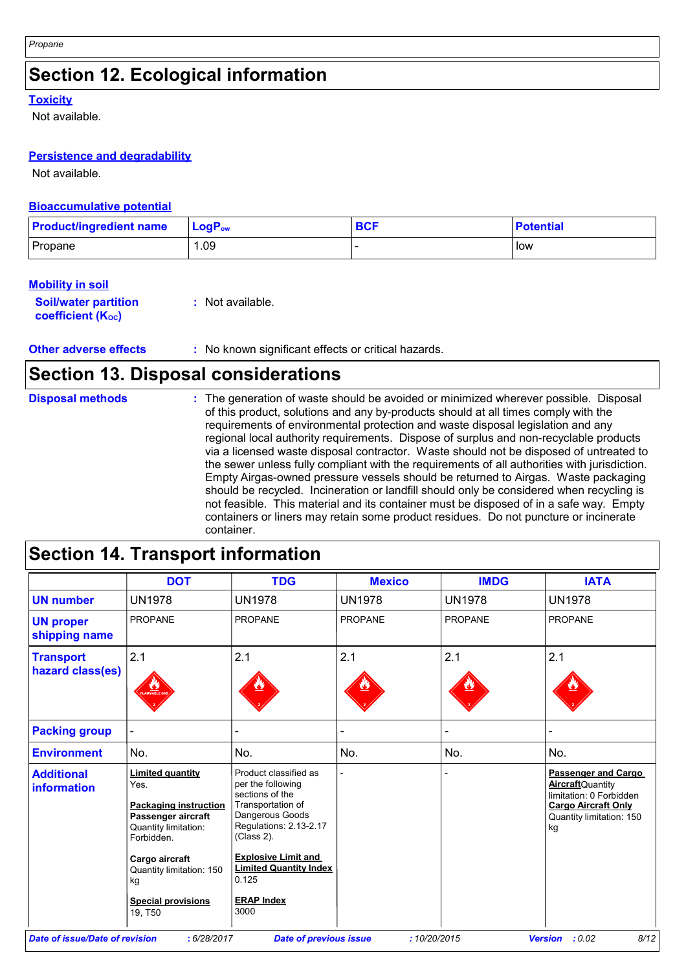# **Section 12. Ecological information**

#### **Toxicity**

Not available.

#### **Persistence and degradability**

Not available.

#### **Bioaccumulative potential**

| <b>Product/ingredient name</b> | $ $ LogP <sub>ow</sub> | <b>BCF</b> | <b>Potential</b> |
|--------------------------------|------------------------|------------|------------------|
| Propane                        | . .09                  |            | low              |

#### **Mobility in soil**

| <b>Soil/water partition</b> | : Not available. |
|-----------------------------|------------------|
| <b>coefficient (Koc)</b>    |                  |

**Other adverse effects** : No known significant effects or critical hazards.

### **Section 13. Disposal considerations**

| <b>Disposal methods</b> | : The generation of waste should be avoided or minimized wherever possible. Disposal<br>of this product, solutions and any by-products should at all times comply with the<br>requirements of environmental protection and waste disposal legislation and any<br>regional local authority requirements. Dispose of surplus and non-recyclable products<br>via a licensed waste disposal contractor. Waste should not be disposed of untreated to<br>the sewer unless fully compliant with the requirements of all authorities with jurisdiction.<br>Empty Airgas-owned pressure vessels should be returned to Airgas. Waste packaging<br>should be recycled. Incineration or landfill should only be considered when recycling is<br>not feasible. This material and its container must be disposed of in a safe way. Empty<br>containers or liners may retain some product residues. Do not puncture or incinerate |
|-------------------------|---------------------------------------------------------------------------------------------------------------------------------------------------------------------------------------------------------------------------------------------------------------------------------------------------------------------------------------------------------------------------------------------------------------------------------------------------------------------------------------------------------------------------------------------------------------------------------------------------------------------------------------------------------------------------------------------------------------------------------------------------------------------------------------------------------------------------------------------------------------------------------------------------------------------|
|                         | container.                                                                                                                                                                                                                                                                                                                                                                                                                                                                                                                                                                                                                                                                                                                                                                                                                                                                                                          |

# **Section 14. Transport information**

|                                         | <b>DOT</b>                                                                                                                                                                                                              | <b>TDG</b>                                                                                                                                                                                                                                         | <b>Mexico</b>  | <b>IMDG</b>    | <b>IATA</b>                                                                                                                                       |
|-----------------------------------------|-------------------------------------------------------------------------------------------------------------------------------------------------------------------------------------------------------------------------|----------------------------------------------------------------------------------------------------------------------------------------------------------------------------------------------------------------------------------------------------|----------------|----------------|---------------------------------------------------------------------------------------------------------------------------------------------------|
| <b>UN number</b>                        | <b>UN1978</b>                                                                                                                                                                                                           | <b>UN1978</b>                                                                                                                                                                                                                                      | <b>UN1978</b>  | <b>UN1978</b>  | <b>UN1978</b>                                                                                                                                     |
| <b>UN proper</b><br>shipping name       | <b>PROPANE</b>                                                                                                                                                                                                          | <b>PROPANE</b>                                                                                                                                                                                                                                     | <b>PROPANE</b> | <b>PROPANE</b> | <b>PROPANE</b>                                                                                                                                    |
| <b>Transport</b><br>hazard class(es)    | 2.1<br><b>WABLE G</b>                                                                                                                                                                                                   | 2.1                                                                                                                                                                                                                                                | 2.1            | 2.1            | 2.1                                                                                                                                               |
| <b>Packing group</b>                    |                                                                                                                                                                                                                         |                                                                                                                                                                                                                                                    |                |                |                                                                                                                                                   |
| <b>Environment</b>                      | No.                                                                                                                                                                                                                     | No.                                                                                                                                                                                                                                                | No.            | No.            | No.                                                                                                                                               |
| <b>Additional</b><br><i>information</i> | <b>Limited quantity</b><br>Yes.<br><b>Packaging instruction</b><br>Passenger aircraft<br>Quantity limitation:<br>Forbidden.<br>Cargo aircraft<br>Quantity limitation: 150<br>kg<br><b>Special provisions</b><br>19, T50 | Product classified as<br>per the following<br>sections of the<br>Transportation of<br>Dangerous Goods<br>Regulations: 2.13-2.17<br>(Class 2).<br><b>Explosive Limit and</b><br><b>Limited Quantity Index</b><br>0.125<br><b>ERAP Index</b><br>3000 |                |                | <b>Passenger and Cargo</b><br><b>Aircraft</b> Quantity<br>limitation: 0 Forbidden<br><b>Cargo Aircraft Only</b><br>Quantity limitation: 150<br>kg |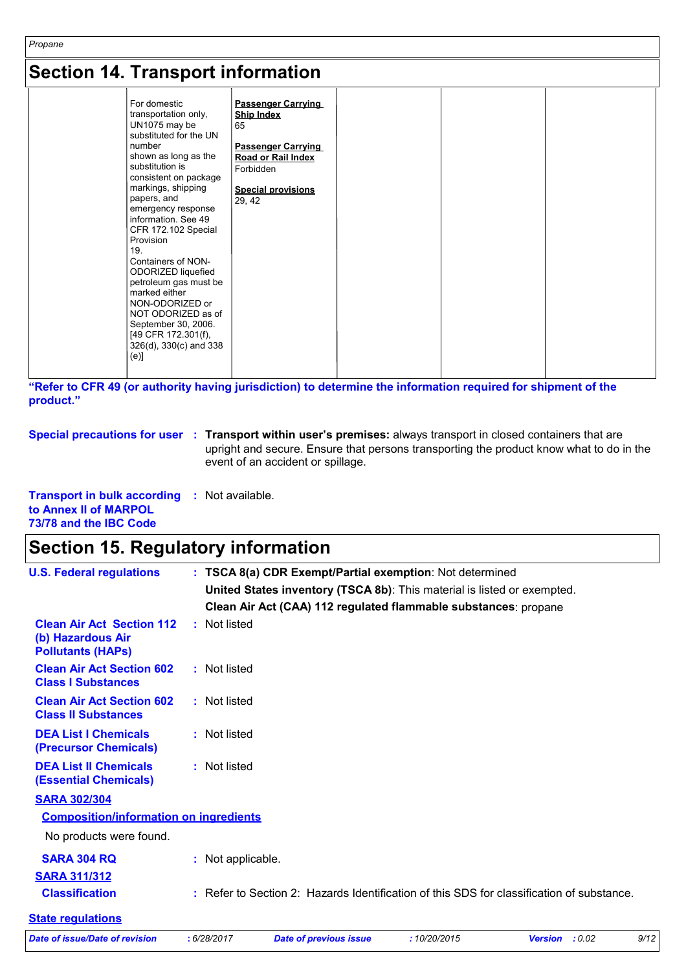| Propane<br><b>Section 14. Transport information</b> |  |  |  |  |
|-----------------------------------------------------|--|--|--|--|
|                                                     |  |  |  |  |

**"Refer to CFR 49 (or authority having jurisdiction) to determine the information required for shipment of the product."** 

|  | Special precautions for user : Transport within user's premises: always transport in closed containers that are              |
|--|------------------------------------------------------------------------------------------------------------------------------|
|  | upright and secure. Ensure that persons transporting the product know what to do in the<br>event of an accident or spillage. |

| <b>Transport in bulk according : Not available.</b> |  |  |
|-----------------------------------------------------|--|--|
| to Annex II of MARPOL                               |  |  |
| 73/78 and the IBC Code                              |  |  |

# **Section 15. Regulatory information**

| <b>U.S. Federal regulations</b>                                                   |                   | : TSCA 8(a) CDR Exempt/Partial exemption: Not determined                                  |             |                       |      |
|-----------------------------------------------------------------------------------|-------------------|-------------------------------------------------------------------------------------------|-------------|-----------------------|------|
|                                                                                   |                   | United States inventory (TSCA 8b): This material is listed or exempted.                   |             |                       |      |
|                                                                                   |                   | Clean Air Act (CAA) 112 regulated flammable substances: propane                           |             |                       |      |
| <b>Clean Air Act Section 112</b><br>(b) Hazardous Air<br><b>Pollutants (HAPS)</b> | : Not listed      |                                                                                           |             |                       |      |
| <b>Clean Air Act Section 602</b><br><b>Class I Substances</b>                     | : Not listed      |                                                                                           |             |                       |      |
| <b>Clean Air Act Section 602</b><br><b>Class II Substances</b>                    | : Not listed      |                                                                                           |             |                       |      |
| <b>DEA List I Chemicals</b><br>(Precursor Chemicals)                              | : Not listed      |                                                                                           |             |                       |      |
| <b>DEA List II Chemicals</b><br><b>(Essential Chemicals)</b>                      | : Not listed      |                                                                                           |             |                       |      |
| <b>SARA 302/304</b>                                                               |                   |                                                                                           |             |                       |      |
| <b>Composition/information on ingredients</b>                                     |                   |                                                                                           |             |                       |      |
| No products were found.                                                           |                   |                                                                                           |             |                       |      |
| <b>SARA 304 RQ</b>                                                                | : Not applicable. |                                                                                           |             |                       |      |
| <b>SARA 311/312</b>                                                               |                   |                                                                                           |             |                       |      |
| <b>Classification</b>                                                             |                   | : Refer to Section 2: Hazards Identification of this SDS for classification of substance. |             |                       |      |
| <b>State regulations</b>                                                          |                   |                                                                                           |             |                       |      |
| <b>Date of issue/Date of revision</b>                                             | : 6/28/2017       | <b>Date of previous issue</b>                                                             | :10/20/2015 | <b>Version</b> : 0.02 | 9/12 |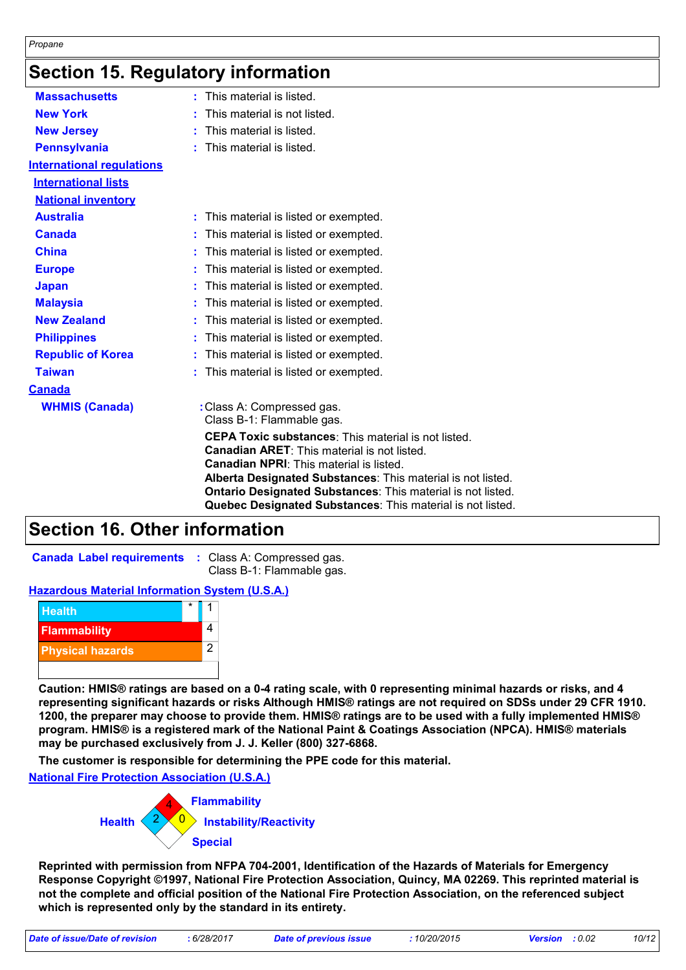### **Section 15. Regulatory information**

| <b>Massachusetts</b>             | $:$ This material is listed.                                                                                                                                                                                                                                                                            |
|----------------------------------|---------------------------------------------------------------------------------------------------------------------------------------------------------------------------------------------------------------------------------------------------------------------------------------------------------|
| <b>New York</b>                  | This material is not listed.                                                                                                                                                                                                                                                                            |
| <b>New Jersey</b>                | This material is listed.                                                                                                                                                                                                                                                                                |
| <b>Pennsylvania</b>              | This material is listed.                                                                                                                                                                                                                                                                                |
| <b>International requlations</b> |                                                                                                                                                                                                                                                                                                         |
| <b>International lists</b>       |                                                                                                                                                                                                                                                                                                         |
| <b>National inventory</b>        |                                                                                                                                                                                                                                                                                                         |
| <b>Australia</b>                 | : This material is listed or exempted.                                                                                                                                                                                                                                                                  |
| <b>Canada</b>                    | This material is listed or exempted.                                                                                                                                                                                                                                                                    |
| <b>China</b>                     | This material is listed or exempted.                                                                                                                                                                                                                                                                    |
| <b>Europe</b>                    | This material is listed or exempted.                                                                                                                                                                                                                                                                    |
| <b>Japan</b>                     | This material is listed or exempted.                                                                                                                                                                                                                                                                    |
| <b>Malaysia</b>                  | This material is listed or exempted.                                                                                                                                                                                                                                                                    |
| <b>New Zealand</b>               | This material is listed or exempted.                                                                                                                                                                                                                                                                    |
| <b>Philippines</b>               | This material is listed or exempted.                                                                                                                                                                                                                                                                    |
| <b>Republic of Korea</b>         | This material is listed or exempted.                                                                                                                                                                                                                                                                    |
| <b>Taiwan</b>                    | This material is listed or exempted.                                                                                                                                                                                                                                                                    |
| <b>Canada</b>                    |                                                                                                                                                                                                                                                                                                         |
| <b>WHMIS (Canada)</b>            | : Class A: Compressed gas.<br>Class B-1: Flammable gas.                                                                                                                                                                                                                                                 |
|                                  | <b>CEPA Toxic substances:</b> This material is not listed.<br><b>Canadian ARET:</b> This material is not listed.<br><b>Canadian NPRI:</b> This material is listed.<br>Alberta Designated Substances: This material is not listed.<br><b>Ontario Designated Substances: This material is not listed.</b> |
|                                  | Quebec Designated Substances: This material is not listed.                                                                                                                                                                                                                                              |

### **Section 16. Other information**

**Canada Label requirements :** Class A: Compressed gas.

Class B-1: Flammable gas.

#### **Hazardous Material Information System (U.S.A.)**



**Caution: HMIS® ratings are based on a 0-4 rating scale, with 0 representing minimal hazards or risks, and 4 representing significant hazards or risks Although HMIS® ratings are not required on SDSs under 29 CFR 1910. 1200, the preparer may choose to provide them. HMIS® ratings are to be used with a fully implemented HMIS® program. HMIS® is a registered mark of the National Paint & Coatings Association (NPCA). HMIS® materials may be purchased exclusively from J. J. Keller (800) 327-6868.**

**The customer is responsible for determining the PPE code for this material.**

**National Fire Protection Association (U.S.A.)**



**Reprinted with permission from NFPA 704-2001, Identification of the Hazards of Materials for Emergency Response Copyright ©1997, National Fire Protection Association, Quincy, MA 02269. This reprinted material is not the complete and official position of the National Fire Protection Association, on the referenced subject which is represented only by the standard in its entirety.**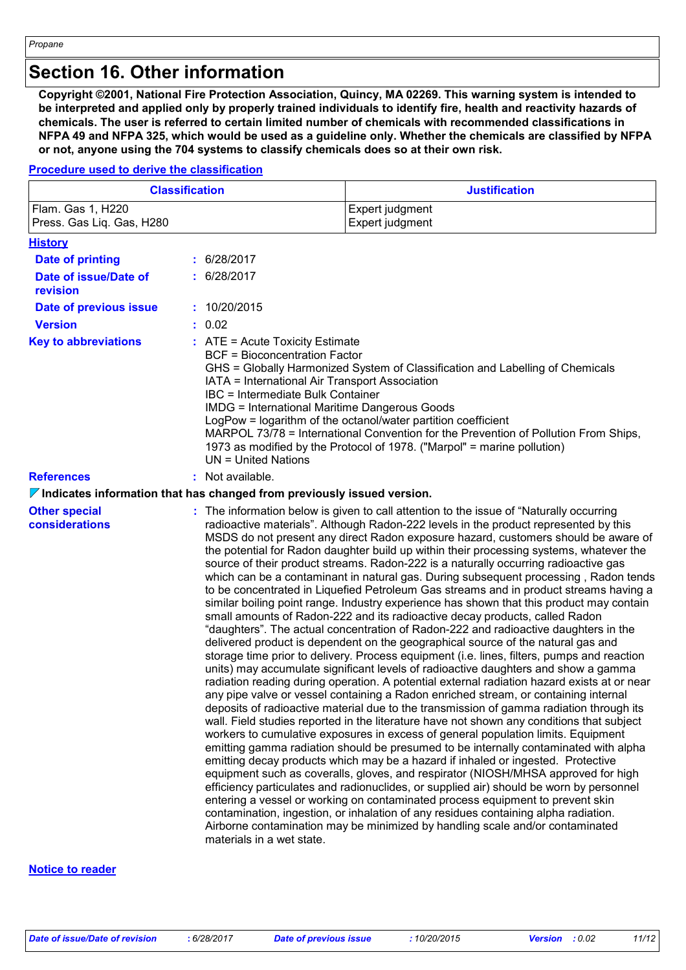### **Section 16. Other information**

**Copyright ©2001, National Fire Protection Association, Quincy, MA 02269. This warning system is intended to be interpreted and applied only by properly trained individuals to identify fire, health and reactivity hazards of chemicals. The user is referred to certain limited number of chemicals with recommended classifications in NFPA 49 and NFPA 325, which would be used as a guideline only. Whether the chemicals are classified by NFPA or not, anyone using the 704 systems to classify chemicals does so at their own risk.**

#### **Procedure used to derive the classification**

|                                                | <b>Classification</b>                                                                                                                                                                                                                                                                                                                                                                                                                                                                                                                                                        | <b>Justification</b>                                                                                                                                                                                                                                                                                                                                                                                                                                                                                                                                                                                                                                                                                                                                                                                                                                                                                                                                                                                                                                                                                                                                                                                                                                                                                                                                                                                                                                                                                                                                                                                                                                                                                                                                                                                                                                                                                                                                                                                                                                                                                                                                                                                                                                                         |  |
|------------------------------------------------|------------------------------------------------------------------------------------------------------------------------------------------------------------------------------------------------------------------------------------------------------------------------------------------------------------------------------------------------------------------------------------------------------------------------------------------------------------------------------------------------------------------------------------------------------------------------------|------------------------------------------------------------------------------------------------------------------------------------------------------------------------------------------------------------------------------------------------------------------------------------------------------------------------------------------------------------------------------------------------------------------------------------------------------------------------------------------------------------------------------------------------------------------------------------------------------------------------------------------------------------------------------------------------------------------------------------------------------------------------------------------------------------------------------------------------------------------------------------------------------------------------------------------------------------------------------------------------------------------------------------------------------------------------------------------------------------------------------------------------------------------------------------------------------------------------------------------------------------------------------------------------------------------------------------------------------------------------------------------------------------------------------------------------------------------------------------------------------------------------------------------------------------------------------------------------------------------------------------------------------------------------------------------------------------------------------------------------------------------------------------------------------------------------------------------------------------------------------------------------------------------------------------------------------------------------------------------------------------------------------------------------------------------------------------------------------------------------------------------------------------------------------------------------------------------------------------------------------------------------------|--|
| Flam. Gas 1, H220<br>Press. Gas Lig. Gas, H280 | Expert judgment<br>Expert judgment                                                                                                                                                                                                                                                                                                                                                                                                                                                                                                                                           |                                                                                                                                                                                                                                                                                                                                                                                                                                                                                                                                                                                                                                                                                                                                                                                                                                                                                                                                                                                                                                                                                                                                                                                                                                                                                                                                                                                                                                                                                                                                                                                                                                                                                                                                                                                                                                                                                                                                                                                                                                                                                                                                                                                                                                                                              |  |
| <b>History</b>                                 |                                                                                                                                                                                                                                                                                                                                                                                                                                                                                                                                                                              |                                                                                                                                                                                                                                                                                                                                                                                                                                                                                                                                                                                                                                                                                                                                                                                                                                                                                                                                                                                                                                                                                                                                                                                                                                                                                                                                                                                                                                                                                                                                                                                                                                                                                                                                                                                                                                                                                                                                                                                                                                                                                                                                                                                                                                                                              |  |
| Date of printing                               | : 6/28/2017                                                                                                                                                                                                                                                                                                                                                                                                                                                                                                                                                                  |                                                                                                                                                                                                                                                                                                                                                                                                                                                                                                                                                                                                                                                                                                                                                                                                                                                                                                                                                                                                                                                                                                                                                                                                                                                                                                                                                                                                                                                                                                                                                                                                                                                                                                                                                                                                                                                                                                                                                                                                                                                                                                                                                                                                                                                                              |  |
| Date of issue/Date of<br>revision              | : 6/28/2017                                                                                                                                                                                                                                                                                                                                                                                                                                                                                                                                                                  |                                                                                                                                                                                                                                                                                                                                                                                                                                                                                                                                                                                                                                                                                                                                                                                                                                                                                                                                                                                                                                                                                                                                                                                                                                                                                                                                                                                                                                                                                                                                                                                                                                                                                                                                                                                                                                                                                                                                                                                                                                                                                                                                                                                                                                                                              |  |
| Date of previous issue                         | : 10/20/2015                                                                                                                                                                                                                                                                                                                                                                                                                                                                                                                                                                 |                                                                                                                                                                                                                                                                                                                                                                                                                                                                                                                                                                                                                                                                                                                                                                                                                                                                                                                                                                                                                                                                                                                                                                                                                                                                                                                                                                                                                                                                                                                                                                                                                                                                                                                                                                                                                                                                                                                                                                                                                                                                                                                                                                                                                                                                              |  |
| <b>Version</b>                                 | : 0.02                                                                                                                                                                                                                                                                                                                                                                                                                                                                                                                                                                       |                                                                                                                                                                                                                                                                                                                                                                                                                                                                                                                                                                                                                                                                                                                                                                                                                                                                                                                                                                                                                                                                                                                                                                                                                                                                                                                                                                                                                                                                                                                                                                                                                                                                                                                                                                                                                                                                                                                                                                                                                                                                                                                                                                                                                                                                              |  |
| <b>Key to abbreviations</b>                    | $:$ ATE = Acute Toxicity Estimate<br><b>BCF = Bioconcentration Factor</b><br>GHS = Globally Harmonized System of Classification and Labelling of Chemicals<br>IATA = International Air Transport Association<br><b>IBC</b> = Intermediate Bulk Container<br><b>IMDG = International Maritime Dangerous Goods</b><br>LogPow = logarithm of the octanol/water partition coefficient<br>MARPOL 73/78 = International Convention for the Prevention of Pollution From Ships,<br>1973 as modified by the Protocol of 1978. ("Marpol" = marine pollution)<br>$UN = United Nations$ |                                                                                                                                                                                                                                                                                                                                                                                                                                                                                                                                                                                                                                                                                                                                                                                                                                                                                                                                                                                                                                                                                                                                                                                                                                                                                                                                                                                                                                                                                                                                                                                                                                                                                                                                                                                                                                                                                                                                                                                                                                                                                                                                                                                                                                                                              |  |
| <b>References</b>                              | : Not available.                                                                                                                                                                                                                                                                                                                                                                                                                                                                                                                                                             |                                                                                                                                                                                                                                                                                                                                                                                                                                                                                                                                                                                                                                                                                                                                                                                                                                                                                                                                                                                                                                                                                                                                                                                                                                                                                                                                                                                                                                                                                                                                                                                                                                                                                                                                                                                                                                                                                                                                                                                                                                                                                                                                                                                                                                                                              |  |
|                                                | $\nabla$ Indicates information that has changed from previously issued version.                                                                                                                                                                                                                                                                                                                                                                                                                                                                                              |                                                                                                                                                                                                                                                                                                                                                                                                                                                                                                                                                                                                                                                                                                                                                                                                                                                                                                                                                                                                                                                                                                                                                                                                                                                                                                                                                                                                                                                                                                                                                                                                                                                                                                                                                                                                                                                                                                                                                                                                                                                                                                                                                                                                                                                                              |  |
| <b>Other special</b><br>considerations         | materials in a wet state.                                                                                                                                                                                                                                                                                                                                                                                                                                                                                                                                                    | : The information below is given to call attention to the issue of "Naturally occurring"<br>radioactive materials". Although Radon-222 levels in the product represented by this<br>MSDS do not present any direct Radon exposure hazard, customers should be aware of<br>the potential for Radon daughter build up within their processing systems, whatever the<br>source of their product streams. Radon-222 is a naturally occurring radioactive gas<br>which can be a contaminant in natural gas. During subsequent processing, Radon tends<br>to be concentrated in Liquefied Petroleum Gas streams and in product streams having a<br>similar boiling point range. Industry experience has shown that this product may contain<br>small amounts of Radon-222 and its radioactive decay products, called Radon<br>"daughters". The actual concentration of Radon-222 and radioactive daughters in the<br>delivered product is dependent on the geographical source of the natural gas and<br>storage time prior to delivery. Process equipment (i.e. lines, filters, pumps and reaction<br>units) may accumulate significant levels of radioactive daughters and show a gamma<br>radiation reading during operation. A potential external radiation hazard exists at or near<br>any pipe valve or vessel containing a Radon enriched stream, or containing internal<br>deposits of radioactive material due to the transmission of gamma radiation through its<br>wall. Field studies reported in the literature have not shown any conditions that subject<br>workers to cumulative exposures in excess of general population limits. Equipment<br>emitting gamma radiation should be presumed to be internally contaminated with alpha<br>emitting decay products which may be a hazard if inhaled or ingested. Protective<br>equipment such as coveralls, gloves, and respirator (NIOSH/MHSA approved for high<br>efficiency particulates and radionuclides, or supplied air) should be worn by personnel<br>entering a vessel or working on contaminated process equipment to prevent skin<br>contamination, ingestion, or inhalation of any residues containing alpha radiation.<br>Airborne contamination may be minimized by handling scale and/or contaminated |  |

#### **Notice to reader**